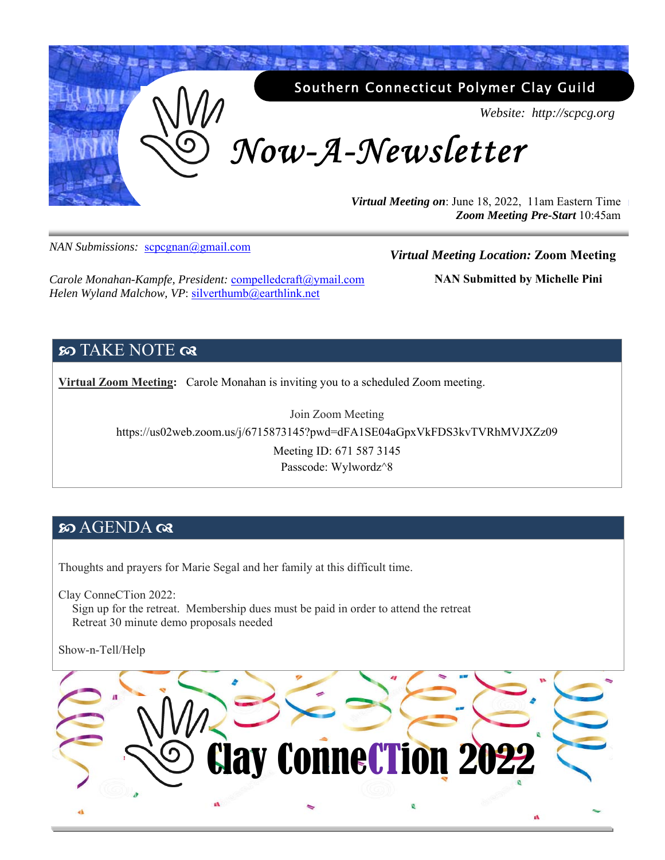

*NAN Submissions:* scpcgnan@gmail.com

#### *Virtual Meeting Location:* **Zoom Meeting**

*Carole Monahan-Kampfe, President:* compelledcraft@ymail.com Helen Wyland Malchow, VP: silverthumb@earthlink.net

**NAN Submitted by Michelle Pini** 

# **SO TAKE NOTE**  $\alpha$

**Virtual Zoom Meeting:** Carole Monahan is inviting you to a scheduled Zoom meeting.

Join Zoom Meeting https://us02web.zoom.us/j/6715873145?pwd=dFA1SE04aGpxVkFDS3kvTVRhMVJXZz09 Meeting ID: 671 587 3145 Passcode: Wylwordz^8

## න AGENDA ලැ

Thoughts and prayers for Marie Segal and her family at this difficult time.

Clay ConneCTion 2022:

Sign up for the retreat. Membership dues must be paid in order to attend the retreat Retreat 30 minute demo proposals needed

Show-n-Tell/Help

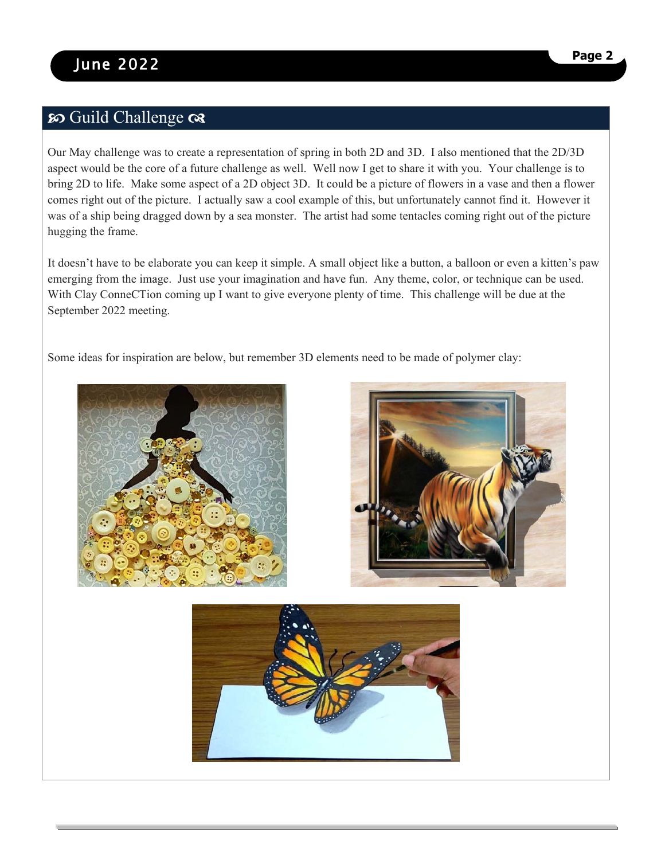# so Guild Challenge as

Our May challenge was to create a representation of spring in both 2D and 3D. I also mentioned that the 2D/3D aspect would be the core of a future challenge as well. Well now I get to share it with you. Your challenge is to bring 2D to life. Make some aspect of a 2D object 3D. It could be a picture of flowers in a vase and then a flower comes right out of the picture. I actually saw a cool example of this, but unfortunately cannot find it. However it was of a ship being dragged down by a sea monster. The artist had some tentacles coming right out of the picture hugging the frame.

It doesn't have to be elaborate you can keep it simple. A small object like a button, a balloon or even a kitten's paw emerging from the image. Just use your imagination and have fun. Any theme, color, or technique can be used. With Clay ConneCTion coming up I want to give everyone plenty of time. This challenge will be due at the September 2022 meeting.

Some ideas for inspiration are below, but remember 3D elements need to be made of polymer clay:





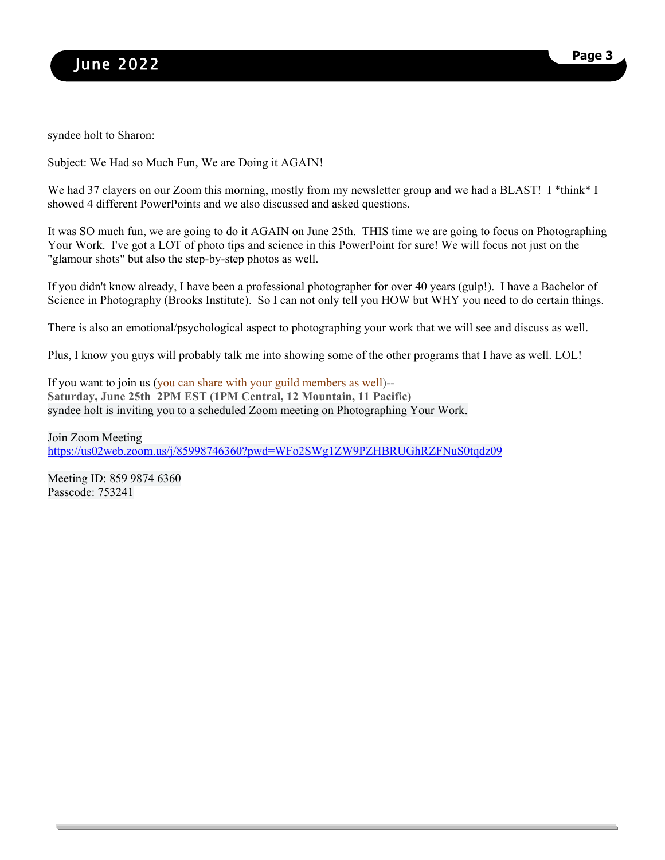syndee holt to Sharon:

Subject: We Had so Much Fun, We are Doing it AGAIN!

We had 37 clayers on our Zoom this morning, mostly from my newsletter group and we had a BLAST! I \*think\* I showed 4 different PowerPoints and we also discussed and asked questions.

It was SO much fun, we are going to do it AGAIN on June 25th. THIS time we are going to focus on Photographing Your Work. I've got a LOT of photo tips and science in this PowerPoint for sure! We will focus not just on the "glamour shots" but also the step-by-step photos as well.

If you didn't know already, I have been a professional photographer for over 40 years (gulp!). I have a Bachelor of Science in Photography (Brooks Institute). So I can not only tell you HOW but WHY you need to do certain things.

There is also an emotional/psychological aspect to photographing your work that we will see and discuss as well.

Plus, I know you guys will probably talk me into showing some of the other programs that I have as well. LOL!

If you want to join us (you can share with your guild members as well)-- **Saturday, June 25th 2PM EST (1PM Central, 12 Mountain, 11 Pacific)** syndee holt is inviting you to a scheduled Zoom meeting on Photographing Your Work.

Join Zoom Meeting https://us02web.zoom.us/j/85998746360?pwd=WFo2SWg1ZW9PZHBRUGhRZFNuS0tqdz09

Meeting ID: 859 9874 6360 Passcode: 753241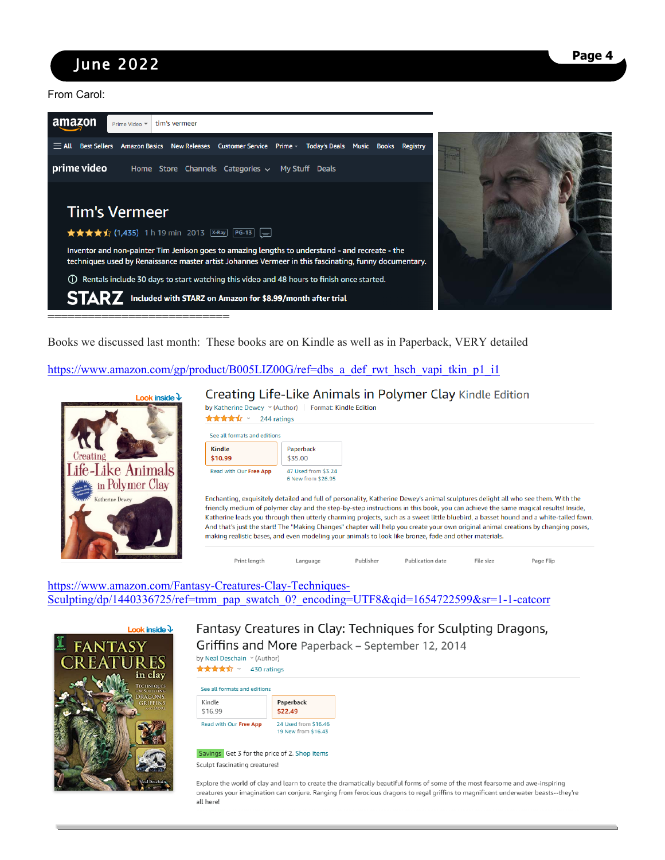# June 2022 **Page 4**

From Carol:



Books we discussed last month: These books are on Kindle as well as in Paperback, VERY detailed

https://www.amazon.com/gp/product/B005LIZ00G/ref=dbs\_a\_def\_rwt\_hsch\_vapi\_tkin\_p1\_i1



#### Creating Life-Like Animals in Polymer Clay Kindle Edition

| by Katherine Dewey $\vee$ (Author) Format: Kindle Edition<br>★★★★☆ > 244 ratings |                                           |
|----------------------------------------------------------------------------------|-------------------------------------------|
| See all formats and editions<br><b>Kindle</b><br>\$10.99                         | Paperback<br>\$35.00                      |
| Read with Our Free App                                                           | 47 Used from \$3.24<br>6 New from \$26.95 |

Enchanting, exquisitely detailed and full of personality, Katherine Dewey's animal sculptures delight all who see them. With the friendly medium of polymer clay and the step-by-step instructions in this book, you can achieve the same magical results! Inside, Katherine leads you through then utterly charming projects, such as a sweet little bluebird, a basset hound and a white-tailed fawn. And that's just the start! The "Making Changes" chapter will help you create your own original animal creations by changing poses, making realistic bases, and even modeling your animals to look like bronze, fade and other materials.

Publication date

File size

Page Flip

https://www.amazon.com/Fantasy-Creatures-Clay-Techniques-Sculpting/dp/1440336725/ref=tmm\_pap\_swatch\_0?\_encoding=UTF8&qid=1654722599&sr=1-1-catcorr

Language



#### Fantasy Creatures in Clay: Techniques for Sculpting Dragons, Griffins and More Paperback - September 12, 2014

Publisher

by Neal Deschain v (Author)

★★★★☆ > 430 ratings See all formats and editions

Print length



Savings Get 3 for the price of 2. Shop items Sculpt fascinating creatures!

Explore the world of clay and learn to create the dramatically beautiful forms of some of the most fearsome and awe-inspiring creatures your imagination can conjure. Ranging from ferocious dragons to regal griffins to magnificent underwater beasts--they're all here!